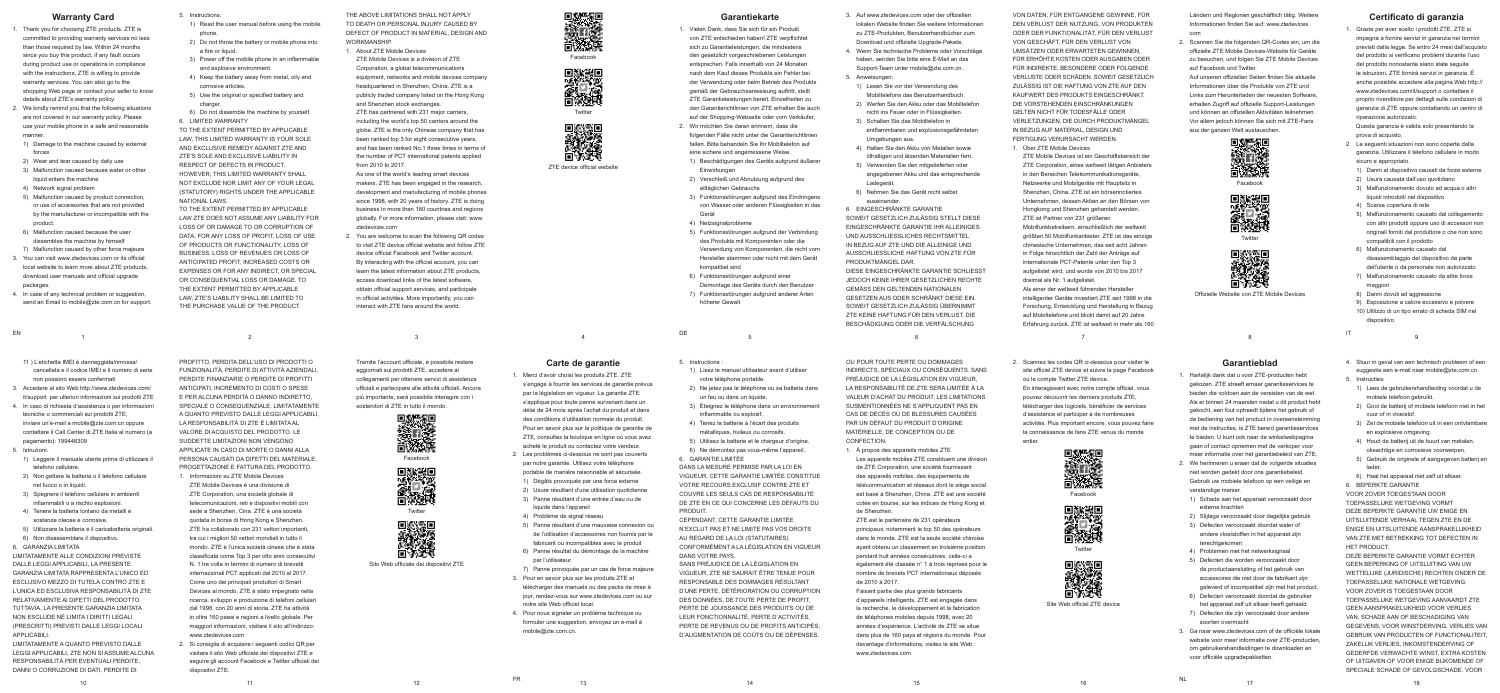### **Warranty Card**

- 1. Thank you for choosing ZTE products. ZTE is committed to providing warranty services no less than those required by law. Within 24 months since you buy this product, if any fault occurs during product use or operations in compliance with the instructions, ZTE is willing to provide warranty services. You can also go to the shopping Web page or contact your seller to know details about ZTE's warranty policy.
- 2. We kindly remind you that the following situations are not covered in our warranty policy. Please use your mobile phone in a safe and reasonable manner.
- 1) Damage to the machine caused by external forces
- 2) Wear and tear caused by daily use
- 3) Malfunction caused because water or other liquid enters the machine
- 4) Network signal problem

EN 1

- 5) Malfunction caused by product connection, or use of accessories that are not provided by the manufacturer or incompatible with the product.
- 6) Malfunction caused because the user dissembles the machine by himself
- 7) Malfunction caused by other force majeure
- 3. You can visit www.ztedevices.com or its official local website to learn more about ZTE products, download user manuals and official upgrade packages
- 4. In case of any technical problem or suggestion, send an Email to mobile@zte.com.cn for support.
- THE ABOVE LIMITATIONS SHALL NOT APPLY TO DEATH OR PERSONAL INJURY CAUSED BY DEFECT OF PRODUCT IN MATERIAL, DESIGN AND **WORKMANSHIP**
- 
- 1. About ZTE Mobile Devices ZTE Mobile Devices is a division of ZTE Corporation, a global telecommunications equipment, networks and mobile devices company headquartered in Shenzhen, China. ZTE is a
- 5. Instructions:
- 1) Read the user manual before using the mobile phone.
- 2) Do not throw the battery or mobile phone into a fire or liquid
- 3) Power off the mobile phone in an inflammable and explosive environment.
- 4) Keep the battery away from metal, oily and corrosive articles.
- 5) Use the original or specified battery and charger.
- 6) Do not dissemble the machine by yourself. 6. LIMITED WARRANTY
- TO THE EXTENT PERMITTED BY APPLICABLE LAW, THIS LIMITED WARRANTY IS YOUR SOLE AND EXCLUSIVE REMEDY AGAINST ZTE AND ZTE'S SOLE AND EXCLUSIVE LIABILITY IN RESPECT OF DEFECTS IN PRODUCT. HOWEVER, THIS LIMITED WARRANTY SHALL NOT EXCLUDE NOR LIMIT ANY OF YOUR LEGAL (STATUTORY) RIGHTS UNDER THE APPLICABLE NATIONAL LAWS
- TO THE EXTENT PERMITTED BY APPLICABLE LAW ZTE DOES NOT ASSUME ANY LIABILITY FOR LOSS OF OR DAMAGE TO OR CORRUPTION OF DATA, FOR ANY LOSS OF PROFIT, LOSS OF USE OF PRODUCTS OR FUNCTIONALITY, LOSS OF BUSINESS, LOSS OF REVENUES OR LOSS OF ANTICIPATED PROFIT, INCREASED COSTS OR EXPENSES OR FOR ANY INDIRECT, OR SPECIAL OR CONSEQUENTIAL LOSS OR DAMAGE. TO THE EXTENT PERMITTED BY APPLICABLE LAW, ZTE'S LIABILITY SHALL BE LIMITED TO THE PURCHASE VALUE OF THE PRODUCT.

publicly traded company listed on the Hong Kong and Shenzhen stock exchanges. ZTE has partnered with 231 major carriers, including the world's top 50 carriers around the globe. ZTE is the only Chinese company that has been ranked top 3 for eight consecutive years and has been ranked No.1 three times in terms of the number of PCT international patents applied from 2010 to 2017.

As one of the world's leading smart devices makers, ZTE has been engaged in the research development and manufacturing of mobile phones since 1998, with 20 years of history. ZTE is doing business in more than 160 countries and regions globally. For more information, please visit: www. ztedevices.com

2. You are welcome to scan the following QR codes to visit ZTE device official website and follow ZTE device official Facebook and Twitter account. By interacting with the official account, you can learn the latest information about ZTE products, access download links of the latest software, obtain official support services, and participate in official activities. More importantly, you can interact with ZTE fans around the world.

Facebook



ZTE device official website

### **Garantiekarte**

- 1. Vielen Dank, dass Sie sich für ein Produkt von ZTE entschieden haben! ZTE verpflichtet sich zu Garantieleistungen, die mindestens den gesetzlich vorgeschriebenen Leistungen entsprechen. Falls innerhalb von 24 Monaten nach dem Kauf dieses Produkts ein Fehler bei der Verwendung oder beim Betrieb des Produkts gemäß der Gebrauchsanweisung auftritt, stellt ZTE Garantieleistungen bereit. Einzelheiten zu den Garantierichtlinien von ZTE erhalten Sie auch auf der Shopping-Webseite oder vom Verkäufer.
- 2. Wir möchten Sie daran erinnern, dass die folgenden Fälle nicht unter die Garantierichtlinien fallen. Bitte behandeln Sie Ihr Mobiltelefon auf eine sichere und angemessene Weise.
- 1) Beschädigungen des Geräts aufgrund äußerer **Einwirkungen**
- 2) Verschleiß und Abnutzung aufgrund des alltäglichen Gebrauchs
- 3) Funktionsstörungen aufgrund des Eindringens von Wasser oder anderen Flüssigkeiten in das Gerät
- 4) Netzsignalprobleme
- 5) Funktionsstörungen aufgrund der Verbindung des Produkts mit Komponenten oder die Verwendung von Komponenten, die nicht vom Hersteller stammen oder nicht mit dem Gerät kompatibel sind
- 6) Funktionsstörungen aufgrund einer Demontage des Geräts durch den Benutzer
- 7) Funktionsstörungen aufgrund anderer Arten höherer Gewalt

## **Certificato di garanzia**

1. Grazie per aver scelto i prodotti ZTE. ZTE si impegna a fornire servizi in garanzia nei termini previsti dalla legge. Se entro 24 mesi dall'acquisto del prodotto si verificano problemi durante l'uso del prodotto nonostante siano state seguite le istruzioni, ZTE fornirà servizi in garanzia. È anche possibile accedere alla pagina Web http:// www.ztedevices.com/it/support o contattare il proprio rivenditore per dettagli sulle condizioni di garanzia di ZTE oppure contattando un centro di riparazione autorizzato.

 Questa garanzia è valida solo presentando la prova di acquisto.

OU POUR TOUTE PERTE OU DOMMAGES INDIRECTS, SPÉCIAUX OU CONSÉQUENTS. SANS PRÉJUDICE DE LA LÉGISLATION EN VIGUEUR, LA RESPONSABILITÉ DE ZTE SERA LIMITÉE À LA VALEUR D'ACHAT DU PRODUIT. LES LIMITATIONS SUSMENTIONNÉES NE S'APPLIQUENT PAS EN CAS DE DÉCÈS OU DE BLESSURES CAUSÉES PAR UN DÉFAUT DU PRODUIT D'ORIGINE MATÉRIELLE, DE CONCEPTION OU DE **CONFECTION** 

- 3. Auf www.ztedevices.com oder der offiziellen lokalen Website finden Sie weitere Informationen zu ZTE-Produkten, Benutzerhandbücher zum Download und offizielle Upgrade-Pakete.
- 4. Wenn Sie technische Probleme oder Vorschläge haben, senden Sie bitte eine E-Mail an das Support-Team unter mobile@zte.com.cn.
- 5. Anweisungen:
- 1) Lesen Sie vor der Verwendung des Mobiltelefons das Benutzerhandbuch.
- 2) Werfen Sie den Akku oder das Mobiltelefon nicht ins Feuer oder in Flüssigkeiten.
- 3) Schalten Sie das Mobiltelefon in entflammbaren und explosionsgefährdeten Umgebungen aus.
- 4) Halten Sie den Akku von Metallen sowie ölhaltigen und ätzenden Materialien fern.
- 5) Verwenden Sie den mitgelieferten oder angegebenen Akku und das entsprechende Ladegerät.
- 6) Nehmen Sie das Gerät nicht selbst auseinander.

6. EINGESCHRÄNKTE GARANTIE SOWEIT GESETZLICH ZULÄSSIG STELLT DIESE EINGESCHRÄNKTE GARANTIE IHR ALLEINIGES UND AUSSCHLIESSLICHES RECHTSMITTEL IN BEZUG AUF ZTE UND DIE ALLEINIGE UND AUSSCHLIESSLICHE HAFTUNG VON ZTE FÜR PRODUKTMÄNGEL DAR.

DIESE EINGESCHRÄNKTE GARANTIE SCHLIESST JEDOCH KEINE IHRER GESETZLICHEN RECHTE GEMÄSS DEN GELTENDEN NATIONALEN GESETZEN AUS ODER SCHRÄNKT DIESE EIN. SOWEIT GESETZLICH ZULÄSSIG ÜBERNIMMT ZTE KEINE HAFTUNG FÜR DEN VERLUST, DIE BESCHÄDIGUNG ODER DIE VERFÄLSCHUNG

VON DATEN, FÜR ENTGANGENE GEWINNE, FÜR DEN VERLUST DER NUTZUNG, VON PRODUKTEN ODER DER FUNKTIONALITÄT, FÜR DEN VERLUST VON GESCHÄFT, FÜR DEN VERLUST VON UMSÄTZEN ODER ERWARTETEN GEWINNEN, FÜR ERHÖHTE KOSTEN ODER AUSGABEN ODER FÜR INDIREKTE, BESONDERE ODER FOLGENDE VERLUSTE ODER SCHÄDEN. SOWEIT GESETZLICH ZULÄSSIG IST DIE HAFTUNG VON ZTE AUF DEN KAUFWERT DES PRODUKTS EINGESCHRÄNKT. DIE VORSTEHENDEN EINSCHRÄNKUNGEN GELTEN NICHT FÜR TODESFÄLLE ODER VERLETZUNGEN, DIE DURCH PRODUKTMÄNGEL IN BEZUG AUF MATERIAL, DESIGN UND FERTIGUNG VERURSACHT WERDEN.

1. Über ZTE Mobile Devices ZTE Mobile Devices ist ein Geschäftsbereich der ZTE Corporation, eines weltweit tätigen Anbieters in den Bereichen Telekommunikationsgeräte Netzwerke und Mobilgeräte mit Hauptsitz in Shenzhen, China. ZTE ist ein börsennotiertes Unternehmen, dessen Aktien an den Börsen von Hongkong und Shenzhen gehandelt werden. ZTE ist Partner von 231 größeren Mobilfunkbetreibern, einschließlich der weltweit größten 50 Mobilfunkanbieter. ZTE ist das einzige chinesische Unternehmen, das seit acht Jahren in Folge hinsichtlich der Zahl der Anträge auf internationale PCT-Patente unter den Top 3 aufgelistet wird, und wurde von 2010 bis 2017 dreimal als Nr. 1 aufgelistet Als einer der weltweit führenden Hersteller

intelligenter Geräte investiert ZTE seit 1998 in die Forschung, Entwicklung und Herstellung in Bezug auf Mobiltelefone und blickt damit auf 20 Jahre Erfahrung zurück. ZTE ist weltweit in mehr als 160

Ländern und Regionen geschäftlich tätig. Weitere Informationen finden Sie auf: www.ztedevices. com

2. Scannen Sie die folgenden QR-Codes ein, um die offizielle ZTE Mobile Devices-Website für Geräte zu besuchen, und folgen Sie ZTE Mobile Devices auf Facebook und Twitter. Auf unseren offiziellen Seiten finden Sie aktuelle

Informationen über die Produkte von ZTE und Links zum Herunterladen der neuesten Software, erhalten Zugriff auf offizielle Support-Leistungen und können an offiziellen Aktivitäten teilnehmen. Vor allem jedoch können Sie sich mit ZTE-Fans aus der ganzen Welt austauschen.





Tramite l'account ufficiale, è possibile restare aggiornati sui prodotti ZTE, accedere ai collegamenti per ottenere servizi di assistenza ufficiali e partecipare alle attività ufficiali. Ancora più importante, sarà possibile interagire con i sostenitori di ZTE in tutto il mondo.

Facebook

Twitter



Offizielle Website von ZTE Mobile Devices

**Carte de garantie** 1. Merci d'avoir choisi les produits ZTE. ZTE

s'engage à fournir les services de garantie prévus par la législation en vigueur. La garantie ZTE s'applique pour toute panne survenant dans un délai de 24 mois après l'achat du produit et dans des conditions d'utilisation normale du produit. Pour en savoir plus sur la politique de garantie de ZTE, consultez la boutique en ligne où vous avez acheté le produit ou contactez votre vendeur. 2. Les problèmes ci-dessous ne sont pas couverts

par notre garantie. Utilisez votre téléphone portable de manière raisonnable et sécurisée. 1) Dégâts provoqués par une force externe

2) Usure résultant d'une utilisation quotidienne 3) Panne résultant d'une entrée d'eau ou de liquide dans l'appareil

- 2. Le seguenti situazioni non sono coperte dalla garanzia. Utilizzare il telefono cellulare in modo sicuro e appropriato.
- 1) Danni al dispositivo causati da forze esterne 2) Usura causata dall'uso quotidiano
- 3) Malfunzionamento dovuto ad acqua o altri
- liquidi introdotti nel dispositivo
- 4) Scarsa copertura di rete
- 5) Malfunzionamento causato dal collegamento con altri prodotti oppure uso di accessori non originali forniti dal produttore o che non sono compatibili con il prodotto
- 6) Malfunzionamento causato dal disassemblaggio del dispositivo da parte dell'utente o da personale non autorizzato
- 7) Malfunzionamento causato da altre forze maggiori
- 8) Danni dovuti ad aggressione
- 9) Esposizione a calore eccessivo e polvere 10) Utilizzo di un tipo errato di scheda SIM nel dispositivo
- $\begin{array}{ccc} & & \text{DE} & \text{5} & \text{6} & \text{7} \end{array}$ 
	- 4. Stuur in geval van een technisch probleem of een suggestie een e-mail naar mobile@zte.com.cn. 5. Instructies:
	- 1) Lees de gebruikershandleiding voordat u de mobiele telefoon gebruikt.
	- 2) Gooi de batterij of mobiele telefoon niet in het vuur of in vloeistof.
	- 3) Zet de mobiele telefoon uit in een ontvlambare en explosieve omgeving.
	- 4) Houd de batterij uit de buurt van metalen, olieachtige en corrosieve voorwerpen.
	- 5) Gebruik de originele of aangegeven batterij en lader.
	- 6) Haal het apparaat niet zelf uit elkaar. 6. BEPERKTE GARANTIE

- 4) Problème de signal réseau
- 5) Panne résultant d'une mauvaise connexion ou de l'utilisation d'accessoires non fournis par le fabricant ou incompatibles avec le produit
- 6) Panne résultat du démontage de la machine par l'utilisateur
- 7) Panne provoquée par un cas de force majeure
- 3. Pour en savoir plus sur les produits ZTE et télécharger des manuels ou des packs de mise à jour, rendez-vous sur www.ztedevices.com ou sur notre site Web officiel local.
- 4. Pour nous signaler un problème technique ou formuler une suggestion, envoyez un e-mail à mobile@zte.com.cn.



5. Instructions :

- 1) Lisez le manuel utilisateur avant d'utiliser votre téléphone portable.
- 2) Ne jetez pas le téléphone ou sa batterie dans un feu ou dans un liquide.
- 3) Éteignez le téléphone dans un environnement inflammable ou explosif.
- 4) Tenez la batterie à l'écart des produits métalliques, huileux ou corrosifs.
- 5) Utilisez la batterie et le chargeur d'origine. 6) Ne démontez pas vous-même l'appareil. 6. GARANTIE LIMITÉE

DANS LA MESURE PERMISE PAR LA LOI EN VIGUEUR, CETTE GARANTIE LIMITÉE CONSTITUE VOTRE RECOURS EXCLUSIE CONTRE ZTE ET COUVRE LES SEULS CAS DE RESPONSABILITÉ DE ZTE EN CE QUI CONCERNE LES DÉFAUTS DU PRODUIT.

CEPENDANT, CETTE GARANTIE LIMITÉE N'EXCLUT PAS ET NE LIMITE PAS VOS DROITS AU REGARD DE LA LOI (STATUTAIRES) CONFORMÉMENT A LA LÉGISLATION EN VIGUEUR DANS VOTRE PAYS.

SANS PRÉJUDICE DE LA LÉGISLATION EN VIGUEUR, ZTE NE SAURAIT ÊTRE TENUE POUR RESPONSABLE DES DOMMAGES RÉSULTANT D'UNE PERTE, DÉTÉRIORATION OU CORRUPTION DES DONNÉES, DE TOUTE PERTE DE PROFIT, PERTE DE JOUISSANCE DES PRODUITS OU DE LEUR FONCTIONNALITÉ, PERTE D'ACTIVITÉS, PERTE DE REVENUS OU DE PROFITS ANTICIPÉS, D'AUGMENTATION DE COÛTS OU DE DÉPENSES,

1. À propos des appareils mobiles ZTE Les appareils mobiles ZTE constituent une division de ZTE Corporation, une société fournissant des appareils mobiles, des équipements de télécommunication et réseaux dont le siège social est basé à Shenzhen, Chine. ZTE est une société cotée en bourse, sur les indices de Hong Kong et de Shenzhen.

ZTE est le partenaire de 231 opérateurs principaux, notamment le top 50 des opérateurs dans le monde. ZTE est la seule société chinoise ayant obtenu un classement en troisième position pendant huit années consécutives, celle-ci a également été classée n° 1 à trois reprises pour le nombre de brevets PCT internationaux déposés de 2010 à 2017.

Faisant partie des plus grands fabricants d'appareils intelligents, ZTE est engagée dans la recherche, le développement et la fabrication de téléphones mobiles depuis 1998, avec 20 années d'expérience. L'activité de ZTE se situe dans plus de 160 pays et régions du monde. Pour davantage d'informations, visitez le site Web : www.ztedevices.com

2. Scannez les codes QR ci-dessous pour visiter le site officiel ZTE device et suivre la page Facebook ou le compte Twitter ZTE device. En interagissant avec notre compte officiel, vous pouvez découvrir les derniers produits ZTE, télécharger des logiciels, bénéficier de services d'assistance et participer à de nombreuses activités. Plus important encore, vous pouvez faire la connaissance de fans ZTE venus du monde entier.



**Facebook** 





Site Web officiel ZTE device

### **Garantieblad**

- 1. Hartelijk dank dat u voor ZTE-producten hebt gekozen. ZTE streeft ernaar garantieservices te bieden die voldoen aan de vereisten van de wet. Als er binnen 24 maanden nadat u dit product hebt gekocht, een fout optreedt tijdens het gebruik of de bediening van het product in overeenstemming met de instructies, is ZTE bereid garantieservices te bieden. U kunt ook naar de winkelwebpagina gaan of contact opnemen met de verkoper voor meer informatie over het garantiebeleid van ZTE.
- 2. We herinneren u eraan dat de volgende situaties niet worden gedekt door ons garantiebeleid. Gebruik uw mobiele telefoon op een veilige en verstandige manier.
- 1) Schade aan het apparaat veroorzaakt door externe krachten
- 2) Slijtage veroorzaakt door dagelijks gebruik 3) Defecten veroorzaakt doordat water of
- andere vloeistoffen in het apparaat zijn terechtgekomen
- 4) Problemen met het netwerksignaal
- 5) Defecten die worden veroorzaakt door de productaansluiting of het gebruik van accessoires die niet door de fabrikant zijn geleverd of incompatibel zijn met het product.
- 6) Defecten veroorzaakt doordat de gebruiker het apparaat zelf uit elkaar heeft gehaald
- 7) Defecten die zijn veroorzaakt door andere soorten overmacht
- 3. Ga naar www.ztedevices.com of de officiële lokale website voor meer informatie over ZTF-producten om gebruikershandleidingen te downloaden en voor officiële upgradepakketten.

VOOR ZOVER TOEGESTAAN DOOR TOEPASSELIJKE WETGEVING VORMT DEZE BEPERKTE GARANTIE UW ENIGE EN UITSLUITENDE VERHAAL TEGEN ZTE EN DE ENIGE EN UITSLUITENDE AANSPRAKELIJKHEID VAN ZTE MET BETREKKING TOT DEFECTEN IN HET PRODUCT.

DEZE BEPERKTE GARANTIE VORMT ECHTER GEEN BEPERKING OF UITSLUITING VAN UW WETTELIJKE (JURIDISCHE) RECHTEN ONDER DE TOEPASSELIJKE NATIONALE WETGEVING. VOOR ZOVER IS TOEGESTAAN DOOR TOEPASSELIJKE WETGEVING AANVAARDT ZTE GEEN AANSPRAKELIJKHEID VOOR VERLIES VAN, SCHADE AAN OF BESCHADIGING VAN GEGEVENS, VOOR WINSTDERVING, VERLIES VAN GEBRUIK VAN PRODUCTEN OF FUNCTIONALITEIT, ZAKELIJK VERLIES, INKOMSTENDERVING OF GEDERFDE VERWACHTE WINST, EXTRA KOSTEN OF UITGAVEN OF VOOR ENIGE BIJKOMENDE OF SPECIALE SCHADE OF GEVOLGSCHADE. VOOR

NL

11 ) L'etichetta IMEI è danneggiata/rimossa/ cancellata e il codice IMEI e il numero di serie non possono essere confermati

- 3. Accedere al sito Web http://www.ztedevices.com/ it/support per ulteriori informazioni sui prodotti ZTE
- 4. In caso di richiesta d'assistenza o per informazioni tecniche o commerciali sui prodotti ZTE, inviare un'e-mail a mobile@zte.com.cn oppure contattare il Call Center di ZTE Italia al numero (a pagamento): 199446309
- 5. Istruzioni:
- 1) Leggere il manuale utente prima di utilizzare il telefono cellulare.
- 2) Non gettare la batteria o il telefono cellulare nel fuoco o in liquidi.
- 3) Spegnere il telefono cellulare in ambienti infiammabili o a rischio esplosion
- 4) Tenere la batteria lontano da metalli e sostanze oleose e corrosive.
- 5) Utilizzare la batteria e il caricabatteria originali. 6) Non disassemblare il dispositivo.
- 6. GARANZIA LIMITATA

LIMITATAMENTE ALLE CONDIZIONI PREVISTE DALLE LEGGI APPLICABILI, LA PRESENTE GARANZIA LIMITATA RAPPRESENTA L'UNICO ED ESCLUSIVO MEZZO DI TUTELA CONTRO ZTE E L'UNICA ED ESCLUSIVA RESPONSABILITÀ DI ZTE RELATIVAMENTE AI DIFETTI DEL PRODOTTO. TUTTAVIA, LA PRESENTE GARANZIA LIMITATA NON ESCLUDE NÉ LIMITA I DIRITTI LEGALI (PRESCRITTI) PREVISTI DALLE LEGGI LOCALI APPLICABILI.

LIMITATAMENTE A QUANTO PREVISTO DALLE LEGGI APPLICABILI, ZTE NON SI ASSUME ALCUNA RESPONSABILITÀ PER EVENTUALI PERDITE, DANNI O CORRUZIONE DI DATI, PERDITE DI

PROFITTO, PERDITA DELL'USO DI PRODOTTI O FUNZIONALITÀ, PERDITE DI ATTIVITÀ AZIENDALI, PERDITE FINANZIARIE O PERDITE DI PROFITTI ANTICIPATI, INCREMENTO DI COSTI O SPESE E PER ALCUNA PERDITA O DANNO INDIRETTO, SPECIALE O CONSEQUENZIALE. LIMITATAMENTE A QUANTO PREVISTO DALLE LEGGI APPLICABILI, LA RESPONSABILITÀ DI ZTE È LIMITATA AL VALORE DI ACQUISTO DEL PRODOTTO. LE SUDDETTE LIMITAZIONI NON VENGONO APPLICATE IN CASO DI MORTE O DANNI ALLA PERSONA CAUSATI DA DIFETTI DEL MATERIALE, PROGETTAZIONE E FATTURA DEL PRODOTTO. 1. Informazioni su ZTE Mobile Devices ZTE Mobile Devices è una divisione di ZTE Corporation, una società globale di telecomunicazioni, reti e dispositivi mobili con sede a Shenzhen, Cina. ZTE è una società quotata in borsa di Hong Kong e Shenzhen. ZTE ha collaborato con 231 vettori importanti, tra cui i migliori 50 vettori mondiali in tutto il mondo. ZTE è l'unica società cinese che è stata classificata come Top 3 per otto anni consecutivi N. 1 tre volte in termini di numero di brevetti internazionali PCT applicati dal 2010 al 2017. Come uno dei principali produttori di Smart Devices al mondo, ZTE è stato impegnato nella ricerca, sviluppo e produzione di telefoni cellulari dal 1998, con 20 anni di storia. ZTE ha attività in oltre 160 paesi e regioni a livello globale. Per maggiori informazioni, visitare il sito all'indirizzo:

www.ztedevices.com

2. Si consiglia di acquisire i seguenti codici QR per visitare il sito Web ufficiale dei dispositivi ZTE e seguire gli account Facebook e Twitter ufficiali dei

dispositivi ZTE.





Twitter





**Twitter** 

Sito Web ufficiale dei dispositivi ZTE



 $11$   $12$   $13$   $14$   $15$   $16$   $17$   $18$